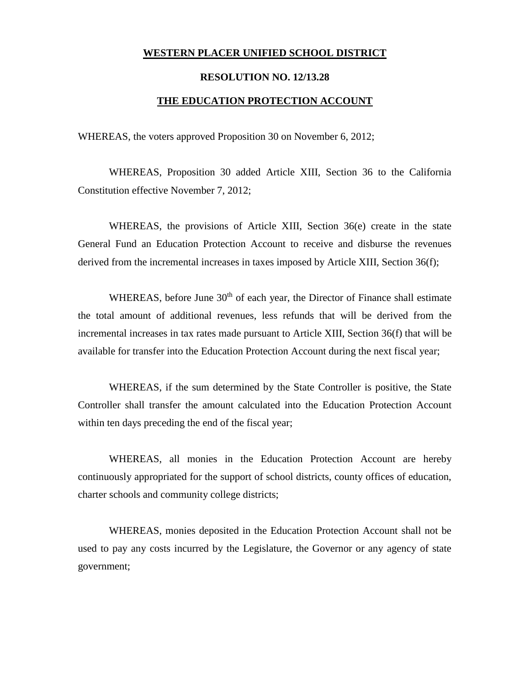## **WESTERN PLACER UNIFIED SCHOOL DISTRICT**

## **RESOLUTION NO. 12/13.28**

## **THE EDUCATION PROTECTION ACCOUNT**

WHEREAS, the voters approved Proposition 30 on November 6, 2012;

WHEREAS, Proposition 30 added Article XIII, Section 36 to the California Constitution effective November 7, 2012;

WHEREAS, the provisions of Article XIII, Section 36(e) create in the state General Fund an Education Protection Account to receive and disburse the revenues derived from the incremental increases in taxes imposed by Article XIII, Section 36(f);

WHEREAS, before June 30<sup>th</sup> of each year, the Director of Finance shall estimate the total amount of additional revenues, less refunds that will be derived from the incremental increases in tax rates made pursuant to Article XIII, Section 36(f) that will be available for transfer into the Education Protection Account during the next fiscal year;

WHEREAS, if the sum determined by the State Controller is positive, the State Controller shall transfer the amount calculated into the Education Protection Account within ten days preceding the end of the fiscal year;

WHEREAS, all monies in the Education Protection Account are hereby continuously appropriated for the support of school districts, county offices of education, charter schools and community college districts;

WHEREAS, monies deposited in the Education Protection Account shall not be used to pay any costs incurred by the Legislature, the Governor or any agency of state government;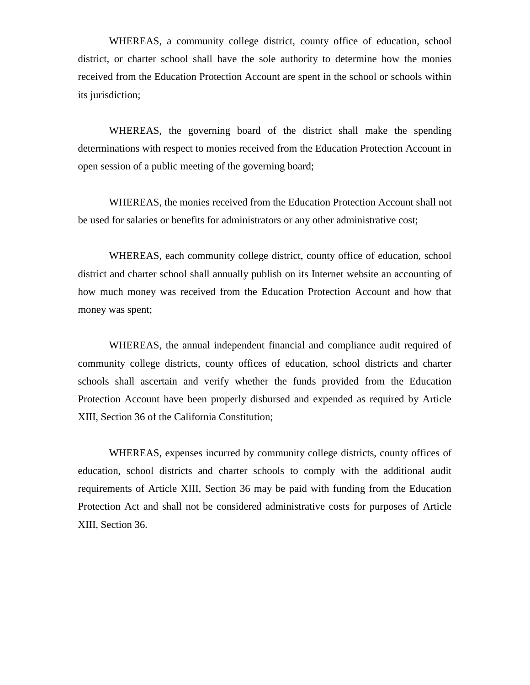WHEREAS, a community college district, county office of education, school district, or charter school shall have the sole authority to determine how the monies received from the Education Protection Account are spent in the school or schools within its jurisdiction;

WHEREAS, the governing board of the district shall make the spending determinations with respect to monies received from the Education Protection Account in open session of a public meeting of the governing board;

WHEREAS, the monies received from the Education Protection Account shall not be used for salaries or benefits for administrators or any other administrative cost;

WHEREAS, each community college district, county office of education, school district and charter school shall annually publish on its Internet website an accounting of how much money was received from the Education Protection Account and how that money was spent;

WHEREAS, the annual independent financial and compliance audit required of community college districts, county offices of education, school districts and charter schools shall ascertain and verify whether the funds provided from the Education Protection Account have been properly disbursed and expended as required by Article XIII, Section 36 of the California Constitution;

WHEREAS, expenses incurred by community college districts, county offices of education, school districts and charter schools to comply with the additional audit requirements of Article XIII, Section 36 may be paid with funding from the Education Protection Act and shall not be considered administrative costs for purposes of Article XIII, Section 36.